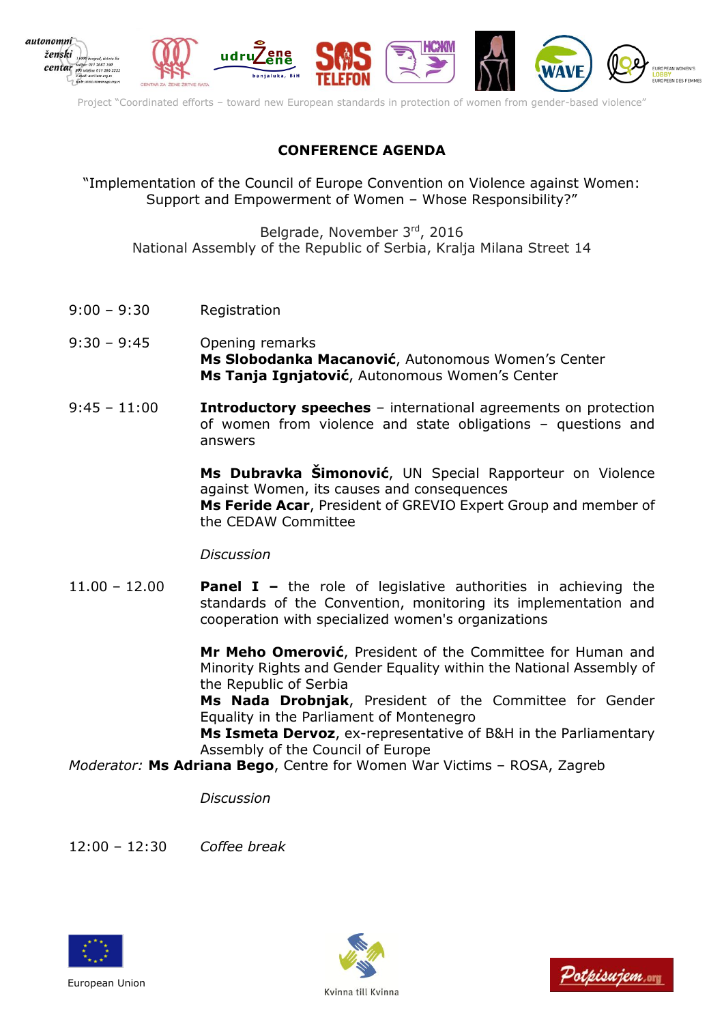

Project "Coordinated efforts – toward new European standards in protection of women from gender-based violence"

## **CONFERENCE AGENDA**

"Implementation of the Council of Europe Convention on Violence against Women: Support and Empowerment of Women – Whose Responsibility?"

Belgrade, November 3rd , 2016 National Assembly of the Republic of Serbia, Kralja Milana Street 14

- 9:00 9:30 Registration
- 9:30 9:45 Opening remarks **Ms Slobodanka Macanović**, Autonomous Women's Center **Ms Tanja Ignjatović**, Autonomous Women's Center
- 9:45 11:00 **Introductory speeches** international agreements on protection of women from violence and state obligations – questions and answers

**Ms Dubravka Šimonović**, UN Special Rapporteur on Violence against Women, its causes and consequences **Ms Feride Acar**, President of GREVIO Expert Group and member of the CEDAW Committee

*Discussion*

11.00 – 12.00 **Panel I –** the role of legislative authorities in achieving the standards of the Convention, monitoring its implementation and cooperation with specialized women's organizations

> **Mr Meho Omerović**, President of the Committee for Human and Minority Rights and Gender Equality within the National Assembly of the Republic of Serbia

> **Ms Nada Drobnjak**, President of the Committee for Gender Equality in the Parliament of Montenegro

> **Ms Ismeta Dervoz**, ex-representative of B&H in the Parliamentary Assembly of the Council of Europe

*Moderator:* **Ms Adriana Bego**, Centre for Women War Victims – ROSA, Zagreb

*Discussion* 

12:00 – 12:30 *Coffee break* 







Kvinna till Kvinna